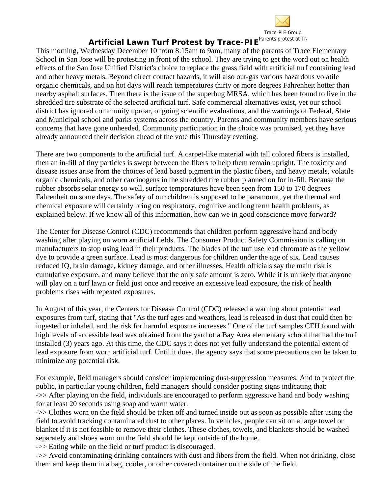

## **Artificial Lawn Turf Protest by Trace-PIE<sup>Parents protest at Tra</sup>**

This morning, Wednesday December 10 from 8:15am to 9am, many of the parents of Trace Elementary School in San Jose will be protesting in front of the school. They are trying to get the word out on health effects of the San Jose Unified District's choice to replace the grass field with artificial turf containing lead and other heavy metals. Beyond direct contact hazards, it will also out-gas various hazardous volatile organic chemicals, and on hot days will reach temperatures thirty or more degrees Fahrenheit hotter than nearby asphalt surfaces. Then there is the issue of the superbug MRSA, which has been found to live in the shredded tire substrate of the selected artificial turf. Safe commercial alternatives exist, yet our school district has ignored community uproar, ongoing scientific evaluations, and the warnings of Federal, State and Municipal school and parks systems across the country. Parents and community members have serious concerns that have gone unheeded. Community participation in the choice was promised, yet they have already announced their decision ahead of the vote this Thursday evening.

There are two components to the artificial turf. A carpet-like material with tall colored fibers is installed, then an in-fill of tiny particles is swept between the fibers to help them remain upright. The toxicity and disease issues arise from the choices of lead based pigment in the plastic fibers, and heavy metals, volatile organic chemicals, and other carcinogens in the shredded tire rubber planned on for in-fill. Because the rubber absorbs solar energy so well, surface temperatures have been seen from 150 to 170 degrees Fahrenheit on some days. The safety of our children is supposed to be paramount, yet the thermal and chemical exposure will certainly bring on respiratory, cognitive and long term health problems, as explained below. If we know all of this information, how can we in good conscience move forward?

The Center for Disease Control (CDC) recommends that children perform aggressive hand and body washing after playing on worn artificial fields. The Consumer Product Safety Commission is calling on manufacturers to stop using lead in their products. The blades of the turf use lead chromate as the yellow dye to provide a green surface. Lead is most dangerous for children under the age of six. Lead causes reduced IQ, brain damage, kidney damage, and other illnesses. Health officials say the main risk is cumulative exposure, and many believe that the only safe amount is zero. While it is unlikely that anyone will play on a turf lawn or field just once and receive an excessive lead exposure, the risk of health problems rises with repeated exposures.

In August of this year, the Centers for Disease Control (CDC) released a warning about potential lead exposures from turf, stating that "As the turf ages and weathers, lead is released in dust that could then be ingested or inhaled, and the risk for harmful exposure increases." One of the turf samples CEH found with high levels of accessible lead was obtained from the yard of a Bay Area elementary school that had the turf installed (3) years ago. At this time, the CDC says it does not yet fully understand the potential extent of lead exposure from worn artificial turf. Until it does, the agency says that some precautions can be taken to minimize any potential risk.

For example, field managers should consider implementing dust-suppression measures. And to protect the public, in particular young children, field managers should consider posting signs indicating that: ->> After playing on the field, individuals are encouraged to perform aggressive hand and body washing for at least 20 seconds using soap and warm water.

->> Clothes worn on the field should be taken off and turned inside out as soon as possible after using the field to avoid tracking contaminated dust to other places. In vehicles, people can sit on a large towel or blanket if it is not feasible to remove their clothes. These clothes, towels, and blankets should be washed separately and shoes worn on the field should be kept outside of the home.

->> Eating while on the field or turf product is discouraged.

->> Avoid contaminating drinking containers with dust and fibers from the field. When not drinking, close them and keep them in a bag, cooler, or other covered container on the side of the field.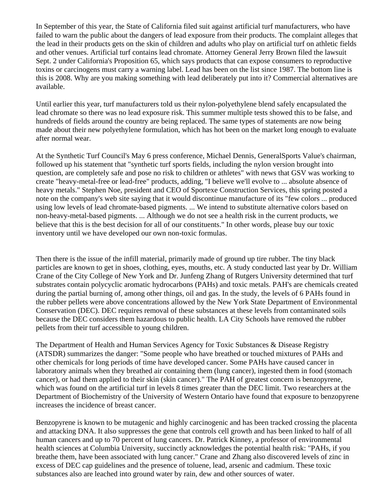In September of this year, the State of California filed suit against artificial turf manufacturers, who have failed to warn the public about the dangers of lead exposure from their products. The complaint alleges that the lead in their products gets on the skin of children and adults who play on artificial turf on athletic fields and other venues. Artificial turf contains lead chromate. Attorney General Jerry Brown filed the lawsuit Sept. 2 under California's Proposition 65, which says products that can expose consumers to reproductive toxins or carcinogens must carry a warning label. Lead has been on the list since 1987. The bottom line is this is 2008. Why are you making something with lead deliberately put into it? Commercial alternatives are available.

Until earlier this year, turf manufacturers told us their nylon-polyethylene blend safely encapsulated the lead chromate so there was no lead exposure risk. This summer multiple tests showed this to be false, and hundreds of fields around the country are being replaced. The same types of statements are now being made about their new polyethylene formulation, which has hot been on the market long enough to evaluate after normal wear.

At the Synthetic Turf Council's May 6 press conference, Michael Dennis, GeneralSports Value's chairman, followed up his statement that "synthetic turf sports fields, including the nylon version brought into question, are completely safe and pose no risk to children or athletes" with news that GSV was working to create "heavy-metal-free or lead-free" products, adding, "I believe we'll evolve to ... absolute absence of heavy metals." Stephen Noe, president and CEO of Sportexe Construction Services, this spring posted a note on the company's web site saying that it would discontinue manufacture of its "few colors ... produced using low levels of lead chromate-based pigments. ... We intend to substitute alternative colors based on non-heavy-metal-based pigments. ... Although we do not see a health risk in the current products, we believe that this is the best decision for all of our constituents." In other words, please buy our toxic inventory until we have developed our own non-toxic formulas.

Then there is the issue of the infill material, primarily made of ground up tire rubber. The tiny black particles are known to get in shoes, clothing, eyes, mouths, etc. A study conducted last year by Dr. William Crane of the City College of New York and Dr. Junfeng Zhang of Rutgers University determined that turf substrates contain polycyclic aromatic hydrocarbons (PAHs) and toxic metals. PAH's are chemicals created during the partial burning of, among other things, oil and gas. In the study, the levels of 6 PAHs found in the rubber pellets were above concentrations allowed by the New York State Department of Environmental Conservation (DEC). DEC requires removal of these substances at these levels from contaminated soils because the DEC considers them hazardous to public health. LA City Schools have removed the rubber pellets from their turf accessible to young children.

The Department of Health and Human Services Agency for Toxic Substances & Disease Registry (ATSDR) summarizes the danger: "Some people who have breathed or touched mixtures of PAHs and other chemicals for long periods of time have developed cancer. Some PAHs have caused cancer in laboratory animals when they breathed air containing them (lung cancer), ingested them in food (stomach cancer), or had them applied to their skin (skin cancer)." The PAH of greatest concern is benzopyrene, which was found on the artificial turf in levels 8 times greater than the DEC limit. Two researchers at the Department of Biochemistry of the University of Western Ontario have found that exposure to benzopyrene increases the incidence of breast cancer.

Benzopyrene is known to be mutagenic and highly carcinogenic and has been tracked crossing the placenta and attacking DNA. It also suppresses the gene that controls cell growth and has been linked to half of all human cancers and up to 70 percent of lung cancers. Dr. Patrick Kinney, a professor of environmental health sciences at Columbia University, succinctly acknowledges the potential health risk: "PAHs, if you breathe them, have been associated with lung cancer." Crane and Zhang also discovered levels of zinc in excess of DEC cap guidelines and the presence of toluene, lead, arsenic and cadmium. These toxic substances also are leached into ground water by rain, dew and other sources of water.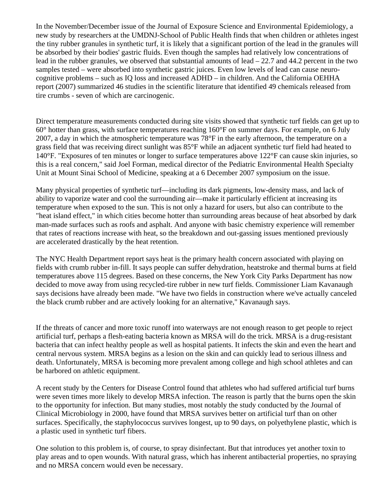In the November/December issue of the Journal of Exposure Science and Environmental Epidemiology, a new study by researchers at the UMDNJ-School of Public Health finds that when children or athletes ingest the tiny rubber granules in synthetic turf, it is likely that a significant portion of the lead in the granules will be absorbed by their bodies' gastric fluids. Even though the samples had relatively low concentrations of lead in the rubber granules, we observed that substantial amounts of lead – 22.7 and 44.2 percent in the two samples tested – were absorbed into synthetic gastric juices. Even low levels of lead can cause neurocognitive problems – such as IQ loss and increased ADHD – in children. And the California OEHHA report (2007) summarized 46 studies in the scientific literature that identified 49 chemicals released from tire crumbs - seven of which are carcinogenic.

Direct temperature measurements conducted during site visits showed that synthetic turf fields can get up to 60° hotter than grass, with surface temperatures reaching 160°F on summer days. For example, on 6 July 2007, a day in which the atmospheric temperature was 78°F in the early afternoon, the temperature on a grass field that was receiving direct sunlight was 85°F while an adjacent synthetic turf field had heated to 140°F. "Exposures of ten minutes or longer to surface temperatures above 122°F can cause skin injuries, so this is a real concern," said Joel Forman, medical director of the Pediatric Environmental Health Specialty Unit at Mount Sinai School of Medicine, speaking at a 6 December 2007 symposium on the issue.

Many physical properties of synthetic turf—including its dark pigments, low-density mass, and lack of ability to vaporize water and cool the surrounding air—make it particularly efficient at increasing its temperature when exposed to the sun. This is not only a hazard for users, but also can contribute to the "heat island effect," in which cities become hotter than surrounding areas because of heat absorbed by dark man-made surfaces such as roofs and asphalt. And anyone with basic chemistry experience will remember that rates of reactions increase with heat, so the breakdown and out-gassing issues mentioned previously are accelerated drastically by the heat retention.

The NYC Health Department report says heat is the primary health concern associated with playing on fields with crumb rubber in-fill. It says people can suffer dehydration, heatstroke and thermal burns at field temperatures above 115 degrees. Based on these concerns, the New York City Parks Department has now decided to move away from using recycled-tire rubber in new turf fields. Commissioner Liam Kavanaugh says decisions have already been made. "We have two fields in construction where we've actually canceled the black crumb rubber and are actively looking for an alternative," Kavanaugh says.

If the threats of cancer and more toxic runoff into waterways are not enough reason to get people to reject artificial turf, perhaps a flesh-eating bacteria known as MRSA will do the trick. MRSA is a drug-resistant bacteria that can infect healthy people as well as hospital patients. It infects the skin and even the heart and central nervous system. MRSA begins as a lesion on the skin and can quickly lead to serious illness and death. Unfortunately, MRSA is becoming more prevalent among college and high school athletes and can be harbored on athletic equipment.

A recent study by the Centers for Disease Control found that athletes who had suffered artificial turf burns were seven times more likely to develop MRSA infection. The reason is partly that the burns open the skin to the opportunity for infection. But many studies, most notably the study conducted by the Journal of Clinical Microbiology in 2000, have found that MRSA survives better on artificial turf than on other surfaces. Specifically, the staphylococcus survives longest, up to 90 days, on polyethylene plastic, which is a plastic used in synthetic turf fibers.

One solution to this problem is, of course, to spray disinfectant. But that introduces yet another toxin to play areas and to open wounds. With natural grass, which has inherent antibacterial properties, no spraying and no MRSA concern would even be necessary.